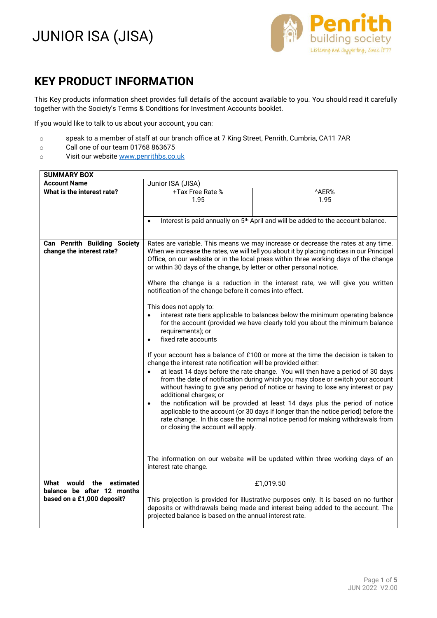# JUNIOR ISA (JISA)



# **KEY PRODUCT INFORMATION**

This Key products information sheet provides full details of the account available to you. You should read it carefully together with the Society's Terms & Conditions for Investment Accounts booklet.

If you would like to talk to us about your account, you can:

- o speak to a member of staff at our branch office at 7 King Street, Penrith, Cumbria, CA11 7AR
- o Call one of our team 01768 863675
- o Visit our website [www.penrithbs.co.uk](http://www.penrithbs.co.uk/)

| <b>SUMMARY BOX</b>                  |                                                                                                                                                   |                                                                                      |
|-------------------------------------|---------------------------------------------------------------------------------------------------------------------------------------------------|--------------------------------------------------------------------------------------|
| <b>Account Name</b>                 | Junior ISA (JISA)                                                                                                                                 |                                                                                      |
| What is the interest rate?          | +Tax Free Rate %                                                                                                                                  | ^AER%                                                                                |
|                                     | 1.95                                                                                                                                              | 1.95                                                                                 |
|                                     |                                                                                                                                                   |                                                                                      |
|                                     | Interest is paid annually on 5 <sup>th</sup> April and will be added to the account balance.<br>$\bullet$                                         |                                                                                      |
|                                     |                                                                                                                                                   |                                                                                      |
| <b>Can Penrith Building Society</b> |                                                                                                                                                   | Rates are variable. This means we may increase or decrease the rates at any time.    |
| change the interest rate?           | When we increase the rates, we will tell you about it by placing notices in our Principal                                                         |                                                                                      |
|                                     |                                                                                                                                                   | Office, on our website or in the local press within three working days of the change |
|                                     | or within 30 days of the change, by letter or other personal notice.                                                                              |                                                                                      |
|                                     |                                                                                                                                                   |                                                                                      |
|                                     | Where the change is a reduction in the interest rate, we will give you written                                                                    |                                                                                      |
|                                     | notification of the change before it comes into effect.                                                                                           |                                                                                      |
|                                     | This does not apply to:                                                                                                                           |                                                                                      |
|                                     | interest rate tiers applicable to balances below the minimum operating balance                                                                    |                                                                                      |
|                                     | for the account (provided we have clearly told you about the minimum balance                                                                      |                                                                                      |
|                                     | requirements); or                                                                                                                                 |                                                                                      |
|                                     | fixed rate accounts                                                                                                                               |                                                                                      |
|                                     | If your account has a balance of £100 or more at the time the decision is taken to                                                                |                                                                                      |
|                                     | change the interest rate notification will be provided either:<br>at least 14 days before the rate change. You will then have a period of 30 days |                                                                                      |
|                                     | from the date of notification during which you may close or switch your account                                                                   |                                                                                      |
|                                     | without having to give any period of notice or having to lose any interest or pay                                                                 |                                                                                      |
|                                     | additional charges; or                                                                                                                            |                                                                                      |
|                                     | the notification will be provided at least 14 days plus the period of notice<br>$\bullet$                                                         |                                                                                      |
|                                     | applicable to the account (or 30 days if longer than the notice period) before the                                                                |                                                                                      |
|                                     | or closing the account will apply.                                                                                                                | rate change. In this case the normal notice period for making withdrawals from       |
|                                     |                                                                                                                                                   |                                                                                      |
|                                     |                                                                                                                                                   |                                                                                      |
|                                     |                                                                                                                                                   |                                                                                      |
|                                     |                                                                                                                                                   | The information on our website will be updated within three working days of an       |
|                                     | interest rate change.                                                                                                                             |                                                                                      |
| would<br>the<br>estimated<br>What   |                                                                                                                                                   | £1,019.50                                                                            |
| balance be after 12 months          |                                                                                                                                                   |                                                                                      |
| based on a £1,000 deposit?          | This projection is provided for illustrative purposes only. It is based on no further                                                             |                                                                                      |
|                                     | deposits or withdrawals being made and interest being added to the account. The                                                                   |                                                                                      |
|                                     | projected balance is based on the annual interest rate.                                                                                           |                                                                                      |
|                                     |                                                                                                                                                   |                                                                                      |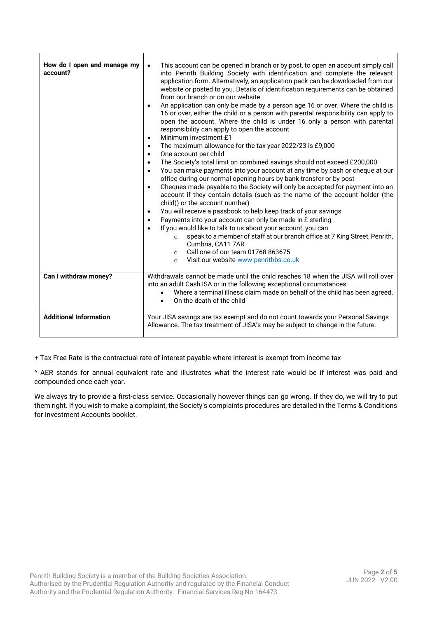| How do I open and manage my<br>account? | This account can be opened in branch or by post, to open an account simply call<br>$\bullet$<br>into Penrith Building Society with identification and complete the relevant<br>application form. Alternatively, an application pack can be downloaded from our<br>website or posted to you. Details of identification requirements can be obtained<br>from our branch or on our website<br>An application can only be made by a person age 16 or over. Where the child is<br>$\bullet$<br>16 or over, either the child or a person with parental responsibility can apply to<br>open the account. Where the child is under 16 only a person with parental<br>responsibility can apply to open the account<br>Minimum investment £1<br>$\bullet$<br>The maximum allowance for the tax year 2022/23 is £9,000<br>$\bullet$<br>One account per child<br>$\bullet$<br>The Society's total limit on combined savings should not exceed £200,000<br>$\bullet$<br>You can make payments into your account at any time by cash or cheque at our<br>office during our normal opening hours by bank transfer or by post<br>Cheques made payable to the Society will only be accepted for payment into an<br>$\bullet$<br>account if they contain details (such as the name of the account holder (the<br>child)) or the account number)<br>You will receive a passbook to help keep track of your savings<br>$\bullet$<br>Payments into your account can only be made in £ sterling<br>$\bullet$<br>If you would like to talk to us about your account, you can<br>$\bullet$<br>speak to a member of staff at our branch office at 7 King Street, Penrith,<br>$\Omega$<br>Cumbria, CA11 7AR<br>Call one of our team 01768 863675<br>$\circ$<br>Visit our website www.penrithbs.co.uk<br>$\circ$ |  |
|-----------------------------------------|---------------------------------------------------------------------------------------------------------------------------------------------------------------------------------------------------------------------------------------------------------------------------------------------------------------------------------------------------------------------------------------------------------------------------------------------------------------------------------------------------------------------------------------------------------------------------------------------------------------------------------------------------------------------------------------------------------------------------------------------------------------------------------------------------------------------------------------------------------------------------------------------------------------------------------------------------------------------------------------------------------------------------------------------------------------------------------------------------------------------------------------------------------------------------------------------------------------------------------------------------------------------------------------------------------------------------------------------------------------------------------------------------------------------------------------------------------------------------------------------------------------------------------------------------------------------------------------------------------------------------------------------------------------------------------------------------------------------------------------------------------------------------------------|--|
| Can I withdraw money?                   | Withdrawals cannot be made until the child reaches 18 when the JISA will roll over<br>into an adult Cash ISA or in the following exceptional circumstances:<br>Where a terminal illness claim made on behalf of the child has been agreed.<br>On the death of the child                                                                                                                                                                                                                                                                                                                                                                                                                                                                                                                                                                                                                                                                                                                                                                                                                                                                                                                                                                                                                                                                                                                                                                                                                                                                                                                                                                                                                                                                                                               |  |
| <b>Additional Information</b>           | Your JISA savings are tax exempt and do not count towards your Personal Savings<br>Allowance. The tax treatment of JISA's may be subject to change in the future.                                                                                                                                                                                                                                                                                                                                                                                                                                                                                                                                                                                                                                                                                                                                                                                                                                                                                                                                                                                                                                                                                                                                                                                                                                                                                                                                                                                                                                                                                                                                                                                                                     |  |

+ Tax Free Rate is the contractual rate of interest payable where interest is exempt from income tax

^ AER stands for annual equivalent rate and illustrates what the interest rate would be if interest was paid and compounded once each year.

We always try to provide a first-class service. Occasionally however things can go wrong. If they do, we will try to put them right. If you wish to make a complaint, the Society's complaints procedures are detailed in the Terms & Conditions for Investment Accounts booklet.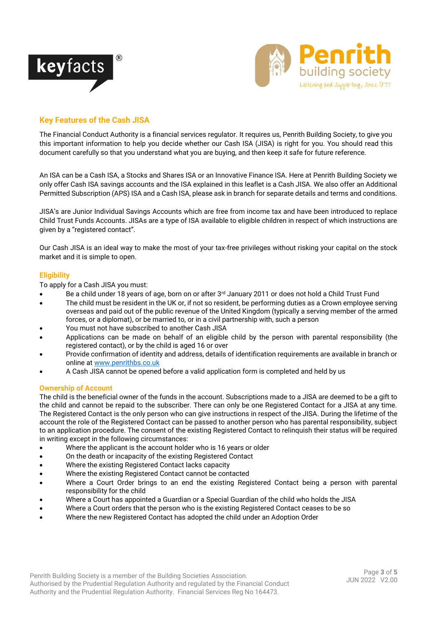



# **Key Features of the Cash JISA**

The Financial Conduct Authority is a financial services regulator. It requires us, Penrith Building Society, to give you this important information to help you decide whether our Cash ISA (JISA) is right for you. You should read this document carefully so that you understand what you are buying, and then keep it safe for future reference.

An ISA can be a Cash ISA, a Stocks and Shares ISA or an Innovative Finance ISA. Here at Penrith Building Society we only offer Cash ISA savings accounts and the ISA explained in this leaflet is a Cash JISA. We also offer an Additional Permitted Subscription (APS) ISA and a Cash ISA, please ask in branch for separate details and terms and conditions.

JISA's are Junior Individual Savings Accounts which are free from income tax and have been introduced to replace Child Trust Funds Accounts. JISAs are a type of ISA available to eligible children in respect of which instructions are given by a "registered contact".

Our Cash JISA is an ideal way to make the most of your tax-free privileges without risking your capital on the stock market and it is simple to open.

### **Eligibility**

To apply for a Cash JISA you must:

- Be a child under 18 years of age, born on or after 3<sup>rd</sup> January 2011 or does not hold a Child Trust Fund
- The child must be resident in the UK or, if not so resident, be performing duties as a Crown employee serving overseas and paid out of the public revenue of the United Kingdom (typically a serving member of the armed forces, or a diplomat), or be married to, or in a civil partnership with, such a person
- You must not have subscribed to another Cash JISA
- Applications can be made on behalf of an eligible child by the person with parental responsibility (the registered contact), or by the child is aged 16 or over
- Provide confirmation of identity and address, details of identification requirements are available in branch or online a[t www.penrithbs.co.uk](http://www.penrithbs.co.uk/)
- A Cash JISA cannot be opened before a valid application form is completed and held by us

#### **Ownership of Account**

The child is the beneficial owner of the funds in the account. Subscriptions made to a JISA are deemed to be a gift to the child and cannot be repaid to the subscriber. There can only be one Registered Contact for a JISA at any time. The Registered Contact is the only person who can give instructions in respect of the JISA. During the lifetime of the account the role of the Registered Contact can be passed to another person who has parental responsibility, subject to an application procedure. The consent of the existing Registered Contact to relinquish their status will be required in writing except in the following circumstances:

- Where the applicant is the account holder who is 16 years or older
- On the death or incapacity of the existing Registered Contact
- Where the existing Registered Contact lacks capacity
- Where the existing Registered Contact cannot be contacted
- Where a Court Order brings to an end the existing Registered Contact being a person with parental responsibility for the child
- Where a Court has appointed a Guardian or a Special Guardian of the child who holds the JISA
- Where a Court orders that the person who is the existing Registered Contact ceases to be so
- Where the new Registered Contact has adopted the child under an Adoption Order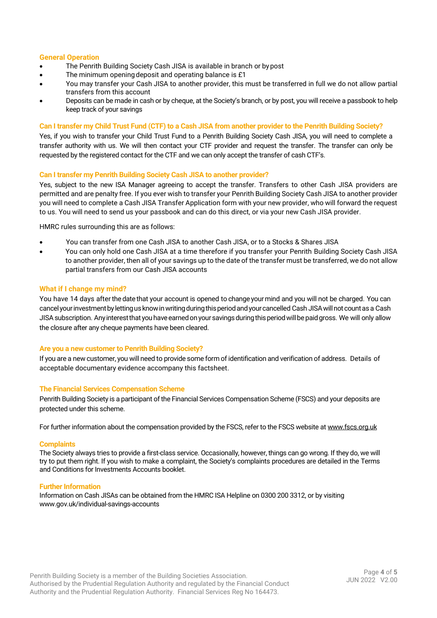#### **General Operation**

- The Penrith Building Society Cash JISA is available in branch or bypost
- The minimum opening deposit and operating balance is £1
- You may transfer your Cash JISA to another provider, this must be transferred in full we do not allow partial transfers from this account
- Deposits can be made in cash or by cheque, at the Society's branch, or by post, you will receive a passbook to help keep track of your savings

#### **Can I transfer my Child Trust Fund (CTF) to a Cash JISA from another provider to the Penrith Building Society?**

Yes, if you wish to transfer your Child Trust Fund to a Penrith Building Society Cash JISA, you will need to complete a transfer authority with us. We will then contact your CTF provider and request the transfer. The transfer can only be requested by the registered contact for the CTF and we can only accept the transfer of cash CTF's.

#### **Can I transfer my Penrith Building Society Cash JISA to another provider?**

Yes, subject to the new ISA Manager agreeing to accept the transfer. Transfers to other Cash JISA providers are permitted and are penalty free. If you ever wish to transfer your Penrith Building Society Cash JISA to another provider you will need to complete a Cash JISA Transfer Application form with your new provider, who will forward the request to us. You will need to send us your passbook and can do this direct, or via your new Cash JISA provider.

HMRC rules surrounding this are as follows:

- You can transfer from one Cash JISA to another Cash JISA, or to a Stocks & Shares JISA
- You can only hold one Cash JISA at a time therefore if you transfer your Penrith Building Society Cash JISA to another provider, then all of your savings up to the date of the transfer must be transferred, we do not allow partial transfers from our Cash JISA accounts

#### **What if I change my mind?**

You have 14 days afterthedate that your account is opened to change yourmind and you will not be charged. You can cancel your investment by letting us know in writing during this period and your cancelled Cash JISA will not count as a Cash JISAsubscription. Anyinterestthat youhaveearnedonyoursavingsduringthisperiodwillbe paidgross. We will only allow the closure after any cheque payments have been cleared.

#### **Are you a new customer to Penrith Building Society?**

If you are a new customer, you will need to provide some form of identification and verification of address. Details of acceptable documentary evidence accompany this factsheet.

#### **The Financial Services Compensation Scheme**

Penrith Building Society is a participant of the Financial Services Compensation Scheme (FSCS) and your deposits are protected under this scheme.

For further information about the compensation provided by the FSCS, refer to the FSCS website a[t www.fscs.org.uk](http://www.fscs.org.uk/)

#### **Complaints**

The Society always tries to provide a first-class service. Occasionally, however, things can go wrong. If they do, we will try to put them right. If you wish to make a complaint, the Society's complaints procedures are detailed in the Terms and Conditions for Investments Accounts booklet.

#### **Further Information**

Information on Cash JISAs can be obtained from the HMRC ISA Helpline on 0300 200 3312, or by visiting www.gov.uk/individual-savings-accounts